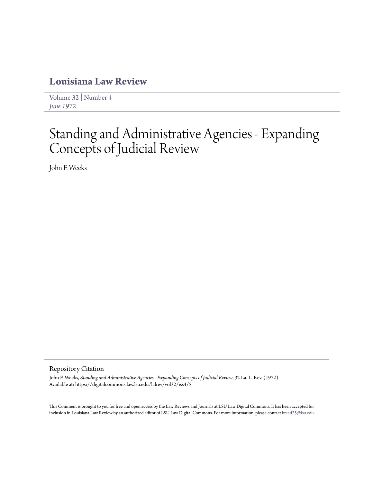# **[Louisiana Law Review](https://digitalcommons.law.lsu.edu/lalrev)**

[Volume 32](https://digitalcommons.law.lsu.edu/lalrev/vol32) | [Number 4](https://digitalcommons.law.lsu.edu/lalrev/vol32/iss4) *[June 1972](https://digitalcommons.law.lsu.edu/lalrev/vol32/iss4)*

# Standing and Administrative Agencies - Expanding Concepts of Judicial Review

John F. Weeks

## Repository Citation

John F. Weeks, *Standing and Administrative Agencies - Expanding Concepts of Judicial Review*, 32 La. L. Rev. (1972) Available at: https://digitalcommons.law.lsu.edu/lalrev/vol32/iss4/5

This Comment is brought to you for free and open access by the Law Reviews and Journals at LSU Law Digital Commons. It has been accepted for inclusion in Louisiana Law Review by an authorized editor of LSU Law Digital Commons. For more information, please contact [kreed25@lsu.edu](mailto:kreed25@lsu.edu).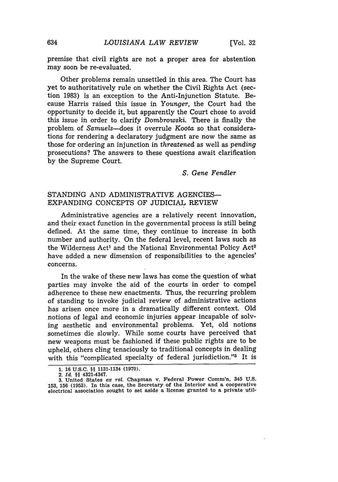premise that civil rights are not a proper area for abstention may soon be re-evaluated.

Other problems remain unsettled in this area. The Court has yet to authoritatively rule on whether the Civil Rights Act (section 1983) is an exception to the Anti-Injunction Statute. Because Harris raised this issue in *Younger,* the Court had the opportunity to decide it, but apparently the Court chose to avoid this issue in order to clarify *Dombrowski.* There is finally the problem of *Samuels-does* it overrule *Koota* so that considerations for rendering a declaratory judgment are now the same as those for ordering an injunction in *threatened* as well as *pending* prosecutions? The answers to these questions await clarification by the Supreme Court.

*S. Gene Fendler*

# STANDING AND ADMINISTRATIVE AGENCIES-EXPANDING CONCEPTS OF JUDICIAL REVIEW

Administrative agencies are a relatively recent innovation, and their exact function in the governmental process is still being defined. At the same time, they continue to increase in both number and authority. On the federal level, recent laws such as the Wilderness Act<sup>1</sup> and the National Environmental Policy Act<sup>2</sup> have added a new dimension of responsibilities to the agencies' concerns.

In the wake of these new laws has come the question of what parties may invoke the aid of the courts in order to compel adherence to these new enactments. Thus, the recurring problem of standing to invoke judicial review of administrative actions has arisen once more in a dramatically different context. Old notions of legal and economic injuries appear incapable of solving aesthetic and environmental problems. Yet, old notions sometimes die slowly. While some courts have perceived that new weapons must be fashioned if these public rights are to be upheld, others cling tenaciously to traditional concepts in dealing with this "complicated specialty of federal jurisdiction."<sup>3</sup> It is

**2.** *Id.* §§ 4321-4347.

634

**<sup>1. 16</sup> U.S.C. §§ 1131-1134 (1970).**

**<sup>3.</sup>** United States ex rel. Chapman v. Federal Power Comm'n, 345 **U.S. 153, 156 (1953).** In this **case,** the Secretary of the Interior **and a** cooperative electrical association sought to set **aside a** license granted to **a** private util-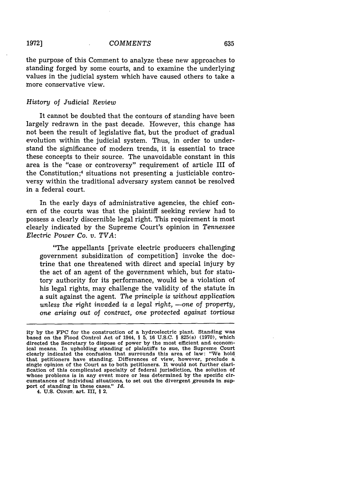**1972]**

the purpose of this Comment to analyze these new approaches to standing forged by some courts, and to examine the underlying values in the judicial system which have caused others to take a more conservative view.

### *History of Judicial Review*

It cannot be doubted that the contours of standing have been largely redrawn in the past decade. However, this change has not been the result of legislative fiat, but the product of gradual evolution within the judicial system. Thus, in order to understand the significance of modern trends, it is essential to trace these concepts to their source. The unavoidable constant in this area is the "case or controversy" requirement of article III of the Constitution;4 situations not presenting a justiciable controversy within the traditional adversary system cannot be resolved in a federal court.

In the early days of administrative agencies, the chief conern of the courts was that the plaintiff seeking review had to possess a clearly discernible legal right. This requirement is most clearly indicated by the Supreme Court's opinion in *Tennessee Electric Power Co. v. TVA:*

"The appellants [private electric producers challenging government subsidization of competition] invoke the doctrine that one threatened with direct and special injury by the act of an agent of the government which, but for statutory authority for its performance, would be a violation of his legal rights, may challenge the validity of the statute in a suit against the agent. *The principle is without application unless the right invaded is a legal right, -one of property, one arising out of contract,* one *protected against tortious*

4. **U.S. CONST.** art. III, § 2.

ity by the FPC for the construction of a hydroelectric plant. Standing was based on the Flood Control Act of 1944, § 5, **16** U.S.C. § 825(s) (1970), which directed the Secretary to dispose of power by the most efficient and economical means. In upholding standing of plaintiffs to sue, the Supreme Court clearly indicated the confusion that surrounds this area of law: "We hold that petitioners have standing. Differences of view, however, preclude a single opinion of the Court as to both petitioners. It would not further clarification of this complicated specialty of federal jurisdiction, the solution of whose problems is in any event more or less determined by the specific circumstances of individual situations, to set out the divergent grounds in support of standing in these cases." *Id.*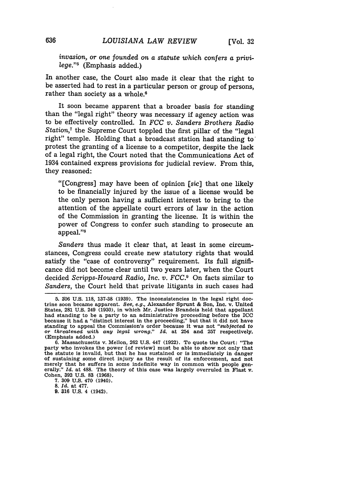*invasion, or one founded on a statute which confers a privilege."5* (Emphasis added.)

In another case, the Court also made it clear that the right to be asserted had to rest in a particular person or group of persons, rather than society as a whole.<sup>6</sup>

It soon became apparent that a broader basis for standing than the "legal right" theory was necessary if agency action was to be effectively controlled. In *FCC v. Sanders Brothers Radio Station,7* the Supreme Court toppled the first pillar of the "legal right" temple. Holding that a broadcast station had standing to protest the granting of a license to a competitor, despite the lack of a legal right, the Court noted that the Communications Act of 1934 contained express provisions for judicial review. From this, they reasoned:

"[Congress] may have been of opinion *[sic]* that one likely to be financially injured by the issue of a license would be the only person having a sufficient interest to bring to the attention of the appellate court errors of law in the action of the Commission in granting the license. It is within the power of Congress to confer such standing to prosecute an appeal."

*Sanders* thus made it clear that, at least in some circumstances, Congress could create new statutory rights that would satisfy the "case of controversy" requirement. Its full significance did not become clear until two years later, when the Court decided *Scripps-Howard Radio, Inc. v. FCC.9* On facts similar to *Sanders,* the Court held that private litigants in such cases had

7. 309 U.S. 470 (1940).

8. Id. at 477.

**9. 316 U.S.** 4 (1942).

<sup>5.</sup> **906** U.S. 118, 137-38 (1939). The inconsistencies in the legal right doctrine soon became apparent. *See, e.g.,* Alexander Sprunt **&** Son, Inc. v. United States, 281 **U.S.** 249 **(1930),** in which Mr. Justice Brandeis held that appellant had standing to be a party to an administrative proceeding before the **ICC** because it had a "distinct interest in the proceeding," but that it **did** not have standing to appeal the Commission's order because it was not *"subjected to or threatened with any legal wrong." Id.* at 254 and **257** respectively. (Emphasis added.)

<sup>6.</sup> Massachusetts v. Mellon, 262 U.S. 447 (1922). To quote the Court: "The party who invokes the power [of review] must be able to show not only that the statute is invalid, but that he has sustained or is immediately in danger of sustaining some direct injury as the result of its enforcement, and not or sustaining some uncer injury as the result of its embrement, and not merely that he suffers in some indefinite way in common with people generally." *Id.* at 488. The theory of this case was largely overruled in Flast **v.** Cohen, **392** U.S. 83 (1968).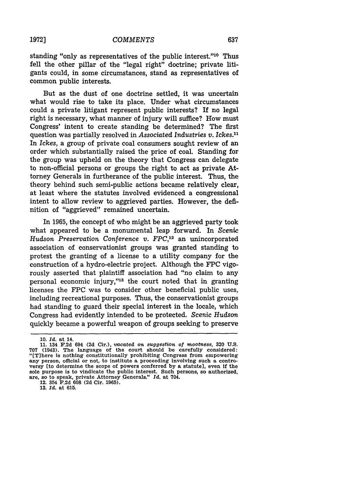standing "only as representatives of the public interest."<sup>10</sup> Thus fell the other pillar of the "legal right" doctrine; private litigants could, in some circumstances, stand as representatives of common public interests.

But as the dust of one doctrine settled, it was uncertain what would rise to take its place. Under what circumstances could a private litigant represent public interests? If no legal right is necessary, what manner of injury will suffice? How must Congress' intent to create standing be determined? The first question was partially resolved in *Associated Industries v. Ickes."'* In *Ickes,* a group of private coal consumers sought review of an order which substantially raised the price of coal. Standing for the group was upheld on the theory that Congress can delegate to non-official persons or groups the right to act as private Attorney Generals in furtherance of the public interest. Thus, the theory behind such semi-public actions became relatively clear, at least where the statutes involved evidenced a congressional intent to allow review to aggrieved parties. However, the definition of "aggrieved" remained uncertain.

In 1965, the concept of who might be an aggrieved party took what appeared to be a monumental leap forward. In *Scenic Hudson Preservation Conference v. FPC,12* an unincorporated association of conservationist groups was granted standing to protest the granting of a license to a utility company for the construction of a hydro-electric project. Although the FPC vigorously asserted that plaintiff association had "no claim to any personal economic injury,"'3 the court noted that in granting licenses the FPC was to consider other beneficial public uses, including recreational purposes. Thus, the conservationist groups had standing to guard their special interest in the locale, which Congress had evidently intended to be protected. *Scenic Hudson* quickly became a powerful weapon of groups seeking to preserve

**13.** *Id.* at **615.**

**<sup>10.</sup>** *Id.* at 14.

**<sup>11.</sup>** 134 **F.2d** 694 **(2d** Cir.), *vacated on suggestion of mootaess,* **320 U.S. 707** (1943). The language of the court should be carefully considered: "[Tihere is nothing constitutionally prohibiting Congress from empowering any person, official or not, to institute a proceeding involving such a controversy [to determine the scope of powers conferred by a statute], even if the sole purpose is to vindicate the public interest. Such persons, so authorized, are, so to speak, private Attorney Generals." *Id.* at 704. 12. 354 **F.2d 608 (2d** Cir. **1965).**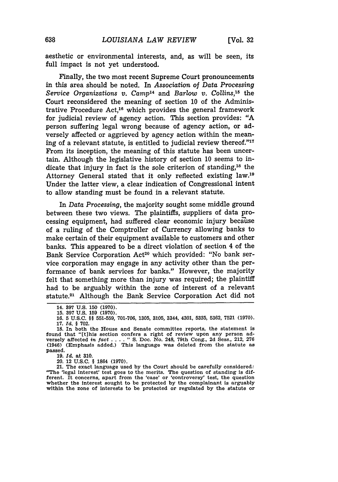aesthetic or environmental interests, and, as will be seen, its full impact is not yet understood.

Finally, the two most recent Supreme Court pronouncements in this area should be noted. In *Association of Data Processing Service Organizations v. Camp<sup>14</sup> and Barlow v. Collins*,<sup>15</sup> the Court reconsidered the meaning of section 10 of the Administrative Procedure Act,<sup>16</sup> which provides the general framework for judicial review of agency action. This section provides: "A person suffering legal wrong because of agency action, or adversely affected or aggrieved by agency action within the meaning of a relevant statute, is entitled to judicial review thereof."<sup>17</sup> From its inception, the meaning of this statute has been uncertain. Although the legislative history of section 10 seems to indicate that injury in fact is the sole criterion of standing,<sup>18</sup> the Attorney General stated that it only reflected existing law.<sup>19</sup> Under the latter view, a clear indication of Congressional intent to allow standing must be found in a relevant statute.

In *Data Processing,* the majority sought some middle ground between these two views. The plaintiffs, suppliers of data processing equipment, had suffered clear economic injury because of a ruling of the Comptroller of Currency allowing banks to make certain of their equipment available to customers and other banks. This appeared to be a direct violation of section 4 of the Bank Service Corporation Act<sup>20</sup> which provided: "No bank service corporation may engage in any activity other than the performance of bank services for banks." However, the majority felt that something more than injury was required; the plaintiff had to be arguably within the zone of interest of a relevant statute.2' Although the Bank Service Corporation Act did not

**19.** *Id.* at **310.**

20. 12 **U.S.C.** § 1864 **(1970).**

21. The exact language used by the Court should be carefully considered:<br>"The 'legal interest' test goes to the merits. The question of standing is different. It concerns, apart from the 'case' or 'controversy' test, the question whether the Interest sought to be protected **by** the complainant is arguably within the zone of interests to be protected or regulated **by** the statute or

<sup>14.</sup> **897** U.S. **150 (1970).**

**<sup>15.</sup> 397 U.S. 159 (1970).**

**<sup>16. 5</sup> U.S.C.** §§ **551-559, 701-706, 1305, 3105,** 3344, 4301, **5335, 5362, 7521 (1970). 17.** *Id.* **§ 702.**

**<sup>18.</sup>** In both the House and Senate committee reports, the statement is found that "[t]his section confers a right of review upon any person adversely affected in *fact* ....." S. Doc. No. 248, 79th Cong., 2d Sess., 212, 276<br>(1946) (Emphasis added.) This language was deleted from the statute as passed.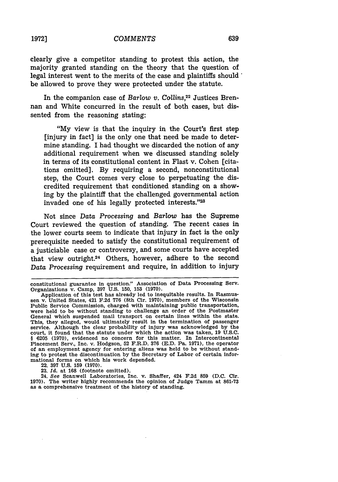clearly give a competitor standing to protest this action, the majority granted standing on the theory that the question of legal interest went to the merits of the case and plaintiffs should " be allowed to prove they were protected under the statute.

In the companion case of *Barlow v. Collins*,<sup>22</sup> Justices Brennan and White concurred in the result of both cases, but dissented from the reasoning stating:

"My view is that the inquiry in the Court's first step [injury in fact] is the only one that need be made to determine standing. I had thought we discarded the notion of any additional requirement when we discussed standing solely in terms of its constitutional content in Flast v. Cohen [citations omitted]. By requiring a second, nonconstitutional step, the Court comes very close to perpetuating the discredited requirement that conditioned standing on a showing by the plaintiff that the challenged governmental action invaded one of his legally protected interests."23

Not since *Data Processing* and *Barlow* has the Supreme Court reviewed the question of standing. The recent cases in the lower courts seem to indicate that injury in fact is the only prerequisite needed to satisfy the constitutional requirement of a justiciable case or controversy, and some courts have accepted that view outright.<sup>24</sup> Others, however, adhere to the second *Data Processing* requirement and require, in addition to injury

constitutional guarantee in question." Association of Data Processing Serv. Organizations v. Camp, **397** U.S. 150, 153 (1970).

Application of this test has already led to inequitable results. In Rasmussen v. United States, 421 F.2d **776** (8th Cir. 1970), members of the Wisconsin Public Service Commission, charged with maintaining public transportation, were held to be without standing to challenge an order of the Postmaster General which suspended mail transport on certain lines within the state. This, they alleged, would ultimately result in the termination of passenger service. Although the clear probability of injury was acknowledged by the court, it found that the statute under which the action was taken, 19 U.S.C. § 6205 (1970), evidenced no concern for this matter. In Intercontinental Placement Serv., Inc. v. Hodgson, 52 F.R.D. 376 (E.D. Pa. 1971), the ope of an employment agency for entering aliens was held to be without standing to protest the discontinuation by the Secretary of Labor of certain informational forms on which his work depended.

<sup>22.</sup> **397** U.S. **159** (1970).

**<sup>23.</sup>** *Id.* at **168** (footnote omitted).

<sup>24.</sup> *See* Scanwell Laboratories, Inc. v. Shaffer, 424 F.2d **859** (D.C. Cir. 1970). The writer highly recommends the opinion of Judge Tamm at 861-73 as a comprehensive treatment of the history of standing.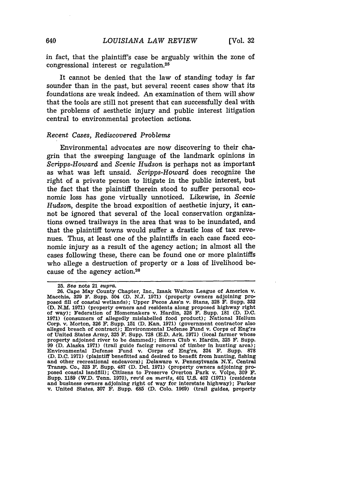in fact, that the plaintiff's case be arguably within the zone of congressional interest or regulation.<sup>25</sup>

It cannot be denied that the law of standing today is far sounder than in the past, but several recent cases show that its foundations are weak indeed. An examination of them will show that the tools are still not present that can successfully deal with the problems of aesthetic injury and public interest litigation central to environmental protection actions.

#### *Recent Cases, Rediscovered Problems*

Environmental advocates are now discovering to their chagrin that the sweeping language of the landmark opinions in *Scripps-Howard* and Scenic *Hudson* is perhaps not as important as what was left unsaid. *Scripps-Howard* does recognize the right of a private person to litigate in the public interest, but the fact that the plaintiff therein stood to suffer personal economic loss has gone virtually unnoticed. Likewise, in *Scenic Hudson,* despite the broad exposition of aesthetic injury, it cannot be ignored that several of the local conservation organizations owned trailways in the area that was to be inundated, and that the plaintiff towns would suffer a drastic loss of tax revenues. Thus, at least one of the plaintiffs in each case faced economic injury as a result of the agency action; in almost all the cases following these, there can be found one or more plaintiffs who allege a destruction of property or a loss of livelihood because of the agency action.<sup>26</sup>

**<sup>25.</sup>** *See* note 21 *supra.*

**<sup>26.</sup>** Cape May County Chapter, Inc., Izaak Walton League of America v. Macchia, **329 F.** Supp. 504 (D. **N.J.** 1971) (property owners adjoining proposed **fill** of coastal wetlands); Upper Pecos Ass'n v. Stans, **328** F. Supp. **332 (D. N.M.** 1971) (property owners and residents along proposed highway right of way); Federation of Homemakers v. Hardin, **328** F. Supp. **181 (D. D.C.** 1971) (consumers of allegedly mislabelled food product); National Helium Corp. v. Morton, **326** F. Supp. **151** (D. Kan. 1971) (government contractor also alleged breach of contract); Environmental Defense Fund v. Corps of Eng'rs of United States Army, **325** F. Supp. **728** (E.D. Ark. 1971) (local farmer whose property adjoined river to be dammed); Sierra Club v. Hardin, **325** F. Supp. 99 (D. Alaska 1971) (trail guide facing removal of timber in hunting area); Environmental Defense Fund v. Corps of Eng'rs, 324 F. Supp. **878 (D. D.C. 1971)** (plaintiff benefitted and desired to benefit from hunting, fishing and other recreational endeavors); Delaware v. Pennsylvania N.Y. Central Transp. Co., **323** F. Supp. **487 (D.** Del. **1971)** (property owners adjoining pro-posed coastal landfill); Citizens to Preserve Overton Park v. Volpe, **309** F. Supp. **1189** (W.D. Tenn. **1970),** *rev'd* on *merits,* 401 **U.S.** 402 **(1971)** (residents and business owners adjoining right of way for interstate highway); Parker v. United States, **307 F.** Supp. **685 (D.** Colo. 1969) (trail guides, property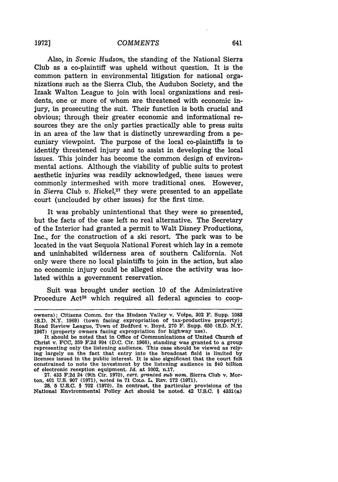Also, in *Scenic Hudson,* the standing of the National Sierra Club as a co-plaintiff was upheld without question. It is the common pattern in environmental litigation for national organizations such as the Sierra Club, the Audubon Society, and the Izaak Walton League to join with local organizations and residents, one or more of whom are threatened with economic injury, in prosecuting the suit. Their function is both crucial and obvious; through their greater economic and informational resources they are the only parties practically able to press suits in an area of the law that is distinctly unrewarding from a pecuniary viewpoint. The purpose of the local co-plaintiffs is to identify threatened injury and to assist in developing the local issues. This joinder has become the common design of environmental actions. Although the viability of public suits to protest aesthetic injuries was readily acknowledged, these issues were commonly intermeshed with more traditional ones. However, in Sierra Club v. Hickel,<sup>27</sup> they were presented to an appellate court (unclouded by other issues) for the first time.

It was probably unintentional that they were so presented, but the facts of the case left no real alternative. The Secretary of the Interior had granted a permit to Walt Disney Productions, Inc., for the construction of a ski resort. The park was to be located in the vast Sequoia National Forest which lay in a remote and uninhabited wilderness area of southern California. Not only were there no local plaintiffs to join in the action, but also no economic injury could be alleged since the activity was isolated within a government reservation.

Suit was brought under section 10 of the Administrative Procedure Act<sup>28</sup> which required all federal agencies to coop-

28. 5 U.S.C. § **702** (1970). In contrast, the particular provisions of the National Environmental Policy Act should be noted. 42 U.S.C. § 4331(a)

owners); Citizens Comm. for the Hudson Valley v. Volpe, **302** F. Supp. **1083 (S.D.** N.Y. 1969) (town facing expropriation of tax-productive property); Road Review League, Town of Bedford v. Boyd, **270** F. Supp. 650 (S.D. N.Y. **1967)** (property owners facing expropriation for highway use). It should be noted that in Office of Communications of United Church of

Christ v. **FCC,** 359 F.2d 994 (D.C. Cir. 1966), standing was granted to a group representing only the listening audience. This case should be viewed as relying largely on the fact that entry into the broadcast field is limited by licenses issued in the public interest. It is also significant that the court felt constrained to note the investment by the listening audience in \$40 billion of electronic reception equipment. *Id.* at 1002, n.17.

<sup>27. 433</sup> F.2d 24 (9th Cir. 1970), *cert. granted sub* nom. Sierra Club v. Morton, 401 U.S. 907 **(1971),** noted *in* **71** CoLO. L. REV. **172** (1971).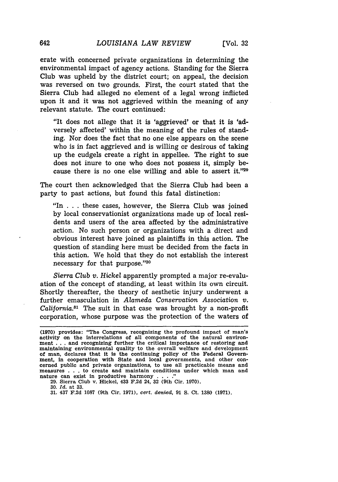erate with concerned private organizations in determining the environmental impact of agency actions. Standing for the Sierra Club was upheld by the district court; on appeal, the decision was reversed on two grounds. First, the court stated that the Sierra Club had alleged no element of a legal wrong inflicted upon it and it was not aggrieved within the meaning of any relevant statute. The court continued:

"It does not allege that it is 'aggrieved' or that it is 'adversely affected' within the meaning of the rules of standing. Nor does the fact that no one else appears on the scene who is in fact aggrieved and is willing or desirous of taking up the cudgels create a right in appellee. The right to sue does not inure to one who does not possess it, simply because there is no one else willing and able to assert it." $29$ 

The court then acknowledged that the Sierra Club had been a party to past actions, but found this fatal distinction:

"In . . . these cases, however, the Sierra Club was joined by local conservationist organizations made up of local residents and users of the area affected by the administrative action. No such person or organizations with a direct and obvious interest have joined as plaintiffs in this action. The question of standing here must be decided from the facts in this action. We hold that they do not establish the interest necessary for that purpose."80

*Sierra Club v. Hickel* apparently prompted a major re-evaluation of the concept of standing, at least within its own circuit. Shortly thereafter, the theory of aesthetic injury underwent a further emasculation in *Alameda Conservation Association v. California."'* The suit in that case was brought by a non-profit corporation, whose purpose was the protection of the waters of

**29.** Sierra Club v. Hickel, 433 **F.2d** 24, **32** (9th Cir. **1970).**

**30.** *Id.* at **33.**

**31.** 437 **F.2d 1087** (9th Cir. **1971),** *cert. denied,* **91 S.** Ct. **1380 (1971).**

<sup>(1970)</sup> provides: "The Congress, recognizing the profound impact of man's activity on the interrelations of all components of the natural environment . . . and recognizing further the critical importance of restoring and maintaining environmental quality to the overall welfare and development of man, declares that It Is the continuing policy of the Federal Government, in cooperation with State and local governments, and other con- cerned public and private organizations, to use all practicable means and measures **. . .** to create and maintain conditions under which man and nature can exist in productive harmony . . . .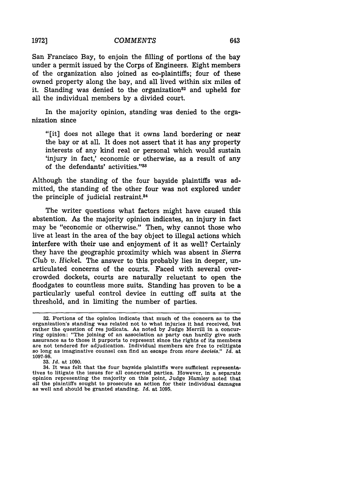San Francisco Bay, to enjoin the filling of portions of the bay under a permit issued by the Corps of Engineers. Eight members of the organization also joined as co-plaintiffs; four of these owned property along the bay, and all lived within six miles of it. Standing was denied to the organization<sup>32</sup> and upheld for all the individual members by a divided court.

In the majority opinion, standing was denied to the organization since

"[it] does not allege that it owns land bordering or near the bay or at all. It does not assert that it has any property interests of any kind real or personal which would sustain 'injury in fact,' economic or otherwise, as a result of any of the defendants' activities."33

Although the standing of the four bayside plaintiffs was admitted, the standing of the other four was not explored under the principle of judicial restraint.84

The writer questions what factors might have caused this abstention. As the majority opinion indicates, an injury in fact may be "economic or otherwise." Then, why cannot those who live at least in the area of the bay object to illegal actions which interfere with their use and enjoyment of it as well? Certainly they have the geographic proximity which was absent in *Sierra Club v. Hickel.* The answer to this probably lies in deeper, unarticulated concerns of the courts. Faced with several overcrowded dockets, courts are naturally reluctant to open the floodgates to countless more suits. Standing has proven to be a particularly useful control device in cutting off suits at the threshold, and in limiting the number of parties.

**33.** *Id.* at **1090.**

**<sup>32.</sup>** Portions of the opinion indicate that much of the concern as to the organization's standing was related not to what injuries it had received, but rather the question of res judicata. As noted by Judge Merrill in a concurring opinion: "The joining of an association as party can hardly give such assurance as to those it purports to represent since the rights of its members so long as imaginative counsel can find an escape from *stare decisis.*" *Id.* at **1097-98.**

<sup>34.</sup> It was felt that the four bayside plaintiffs were sufficient representatives to litigate the issues for all concerned parties. However, in a separate opinion representing the majority on this point, Judge Hamley noted that all the plaintiffs sought to prosecute an action for their individual damages as well and should be granted standing. *Id.* at **1095.**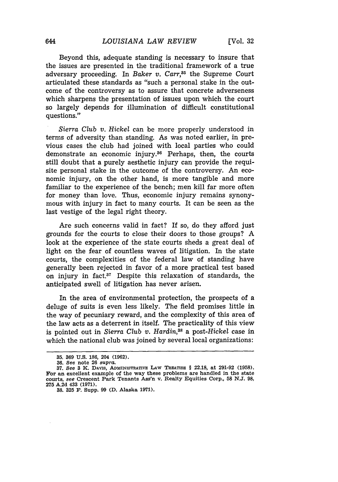Beyond this, adequate standing is necessary to insure that the issues are presented in the traditional framework of a true adversary proceeding. In *Baker v. Carr,85* the Supreme Court articulated these standards as "such a personal stake in the outcome of the controversy as to assure that concrete adverseness which sharpens the presentation of issues upon which the court so largely depends for illumination of difficult constitutional questions."

*Sierra Club v. Hickel* can be more properly understood in terms of adversity than standing. As was noted earlier, in previous cases the club had joined with local parties who could demonstrate an economic injury.36 Perhaps, then, the courts still doubt that a purely aesthetic injury can provide the requisite personal stake in the outcome of the controversy. An economic injury, on the other hand, is more tangible and more familiar to the experience of the bench; men kill far more often for money than love. Thus, economic injury remains synonymous with injury in fact to many courts. It can be seen as the last vestige of the legal right theory.

Are such concerns valid in fact? If so, do they afford just grounds for the courts to close their doors to those groups? A look at the experience of the state courts sheds a great deal of light on the fear of countless waves of litigation. In the state courts, the complexities of the federal law of standing have generally been rejected in favor of a more practical test based on injury in fact. $37$  Despite this relaxation of standards, the anticipated swell of litigation has never arisen.

In the area of environmental protection, the prospects of a deluge of suits is even less likely. The field promises little in the way of pecuniary reward, and the complexity of this area of the law acts as a deterrent in itself. The practicality of this view is pointed out in *Sierra Club v. Hardin,38* a *post-Hickel* case in which the national club was joined by several local organizations:

**<sup>35. 369</sup> U.S. 186, 204 (1962).**

**<sup>36.</sup>** See **note 26** *supra.*

**<sup>37.</sup>** *See* **3 K.** DAviS, ADMINISTRATIVE **LAW TREATISE** § **22.18,** at **291-92 (1958). For an** excellent example **of the** way these problems are handled in the state courts, *see* Crescent **Park** Tenants **Ass'n** v. **Realty** Equities Corp., **58 N.J. 98, 275 A.2d 433 (1971).**

**<sup>38. 325</sup> F.** Supp. **99 (D. Alaska 1971).**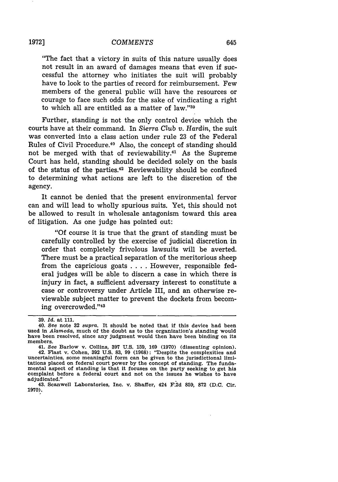"The fact that a victory in suits of this nature usually does not result in an award of damages means that even if successful the attorney who initiates the suit will probably have to look to the parties of record for reimbursement. Few members of the general public will have the resources or courage to face such odds for the sake of vindicating a right to which all are entitled as a matter of law."39

Further, standing is not the only control device which the courts have at their command. In *Sierra Club v. Hardin,* the suit was converted into a class action under rule 23 of the Federal Rules of Civil Procedure.<sup>40</sup> Also, the concept of standing should not be merged with that of reviewability.<sup>41</sup> As the Supreme Court has held, standing should be decided solely on the basis of the status of the parties.<sup>42</sup> Reviewability should be confined to determining what actions are left to the discretion of the agency.

It cannot be denied that the present environmental fervor can and will lead to wholly spurious suits. Yet, this should not be allowed to result in wholesale antagonism toward this area of litigation. As one judge has pointed out:

"Of course it is true that the grant of standing must be carefully controlled by the exercise of judicial discretion in order that completely frivolous lawsuits will be averted. There must be a practical separation of the meritorious sheep from the capricious goats . **.** . However, responsible federal judges will be able to discern a case in which there is injury in fact, a sufficient adversary interest to constitute a case or controversy under Article III, and an otherwise reviewable subject matter to prevent the dockets from becoming overcrowded. ''43

**<sup>39.</sup>** *Id.* at **111.**

<sup>40.</sup> See note **32** *supra.* It should be noted that if this device had been used in *Alameda,* much of the doubt as to the organization's standing would have been resolved, since any judgment would then have been binding on its members.

<sup>41.</sup> See Barlow v. Collins, **397** U.S. 159, **169** (1970) (dissenting opinion). 42. Flast v. Cohen, **392** U.S. **83,** 99 **(1968):** "Despite the complexities and uncertainties, some meaningful form can be given to the jurisdictional limitations placed on federal court power by the concept of standing. The fundamental aspect of standing is that it focuses on the party seeking to get his complaint before a federal court and not on the issues he wishes to have

<sup>43.</sup> Scanwell Laboratories, Inc. v. Shaffer, 424 F.2d 859, 872 (D.C. Cir. **1970).**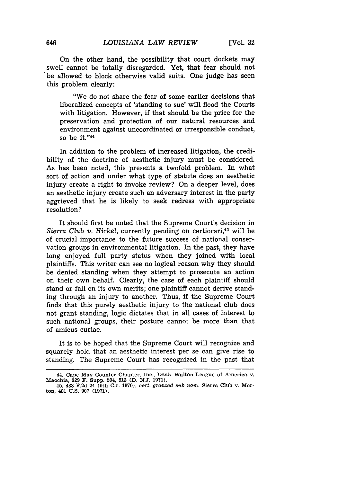On the other hand, the possibility that court dockets may swell cannot be totally disregarded. Yet, that fear should not be allowed to block otherwise valid suits. One judge has seen this problem clearly:

"We do not share the fear of some earlier decisions that liberalized concepts of 'standing to sue' will flood the Courts with litigation. However, if that should be the price for the preservation and protection of our natural resources and environment against uncoordinated or irresponsible conduct, so be it."<sup>44</sup>

In addition to the problem of increased litigation, the credibility of the doctrine of aesthetic injury must be considered. As has been noted, this presents a twofold problem. In what sort of action and under what type of statute does an aesthetic injury create a right to invoke review? On a deeper level, does an aesthetic injury create such an adversary interest in the party aggrieved that he is likely to seek redress with appropriate resolution?

It should first be noted that the Supreme Court's decision in Sierra Club v. Hickel, currently pending on certiorari,<sup>45</sup> will be of crucial importance to the future success of national conservation groups in environmental litigation. In the past, they have long enjoyed full party status when they joined with local plaintiffs. This writer can see no logical reason why they should be denied standing when they attempt to prosecute an action on their own behalf. Clearly, the case of each plaintiff should stand or fall on its own merits; one plaintiff cannot derive standing through an injury to another. Thus, if the Supreme Court finds that this purely aesthetic injury to the national club does not grant standing, logic dictates that in all cases of interest to such national groups, their posture cannot be more than that of amicus curiae.

It is to be hoped that the Supreme Court will recognize and squarely hold that an aesthetic interest per se can give rise to standing. The Supreme Court has recognized in the past that

**<sup>44.</sup> Cape May Counter Chapter, Inc., Izzak Walton League of America v. Macchia, 329 F. Supp. 504, 513 (D. N.J. 1971).**

**<sup>45. 433</sup> F.2d 24 (9th Cir. 1970),** *cert. granted* sub *nom.* **Sierra Club v. Morton, 401 U.S. 907 (1971).**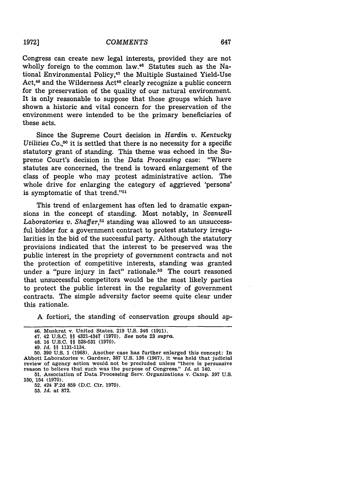Congress can create new legal interests, provided they are not wholly foreign to the common law.<sup>46</sup> Statutes such as the National Environmental Policy,<sup>47</sup> the Multiple Sustained Yield-Use Act,<sup>48</sup> and the Wilderness Act<sup>49</sup> clearly recognize a public concern for the preservation of the quality of our natural environment. It is only reasonable to suppose that those groups which have shown a historic and vital concern for the preservation of the environment were intended to be the primary beneficiaries of these acts.

Since the Supreme Court decision in *Hardin v. Kentucky Utilities* Co.<sup>50</sup> it is settled that there is no necessity for a specific statutory grant of standing. This theme was echoed in the Supreme Court's decision in the *Data Processing* case: "Where statutes are concerned, the trend is toward enlargement of the class of people who may protest administrative action. The whole drive for enlarging the category of aggrieved 'persons' is symptomatic of that trend."<sup>51</sup>

This trend of enlargement has often led to dramatic expansions in the concept of standing. Most notably, in *Scanwell Laboratories v. Shaffer,52* standing was allowed to an unsuccessful bidder for a government contract to protest statutory irregularities in the bid of the successful party. Although the statutory provisions indicated that the interest to be preserved was the public interest in the propriety of government contracts and not the protection of competitive interests, standing was granted under a "pure injury in fact" rationale.<sup>53</sup> The court reasoned that unsuccessful competitors would be the most likely parties to protect the public interest in the regularity of government contracts. The simple adversity factor seems quite clear under this rationale.

**A** fortiori, the standing of conservation groups should ap-

52. 424 F.2d 859 (D.C. Cir. 1970).

53. *Id.* at 872.

<sup>46.</sup> Muskrat v. United States, **219 U.S.** 346 **(1911).**

<sup>47. 42</sup> **U.S.C.** §§ 4321-4347 **(1970).** See note **23** *supra.*

<sup>48.</sup> **16 U.S.C.** §§ **528-531 (1970).**

<sup>49.</sup> *Id. §§* 1131-1134.

**<sup>50. 390</sup> U.S. 1 (1968).** Another case has further enlarged this concept: In Abbott Laboratories v. Gardner, **387 U.S. 136 (1967),** it was held that judicial review of agency action would not be precluded unless "there is persuasive reason to believe that such was the purpose of Congress." *Id.* at 140.

<sup>51.</sup> Association of Data Processing Serv. Organizations v. Camp. 397 U.S. 150, 154 (1970).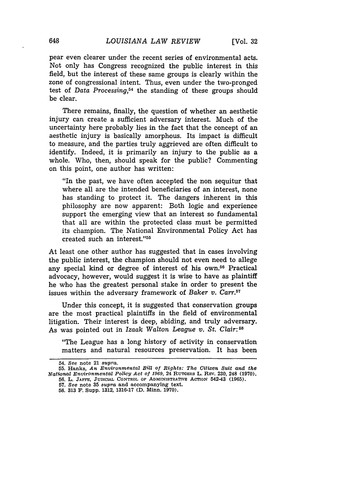pear even clearer under the recent series of environmental acts. Not only has Congress recognized the public interest in this field, but the interest of these same groups is clearly within the zone of congressional intent. Thus, even under the two-pronged test of *Data Processing,54* the standing of these groups should be clear.

There remains, finally, the question of whether an aesthetic injury can create a sufficient adversary interest. Much of the uncertainty here probably lies in the fact that the concept of an aesthetic injury is basically amorphous. Its impact is difficult to measure, and the parties truly aggrieved are often difficult to identify. Indeed, it is primarily an injury to the public as a whole. Who, then, should speak for the public? Commenting on this point, one author has written:

"In the past, we have often accepted the non sequitur that where all are the intended beneficiaries of an interest, none has standing to protect it. The dangers inherent in this philosophy are now apparent: Both logic and experience support the emerging view that an interest so fundamental that all are within the protected class must be permitted its champion. The National Environmental Policy Act has created such an interest."5

At least one other author has suggested that in cases involving the public interest, the champion should not even need to allege any special kind or degree of interest of his own.56 Practical advocacy, however, would suggest it is wise to have as plaintiff he who has the greatest personal stake in order to present the issues within the adversary framework of *Baker v. Carr.57*

Under this concept, it is suggested that conservation groups are the most practical plaintiffs in the field of environmental litigation. Their interest is deep, abiding, and truly adversary. As was pointed out in *Izaak* Walton *League v. St. Clair:58*

"The League has a long history of activity in conservation matters and natural resources preservation. It has been

**54.** *See* note **21** *supra.*

648

**<sup>55.</sup>** Hanks, *An Environmental Bill of Rights: The Citizen Suit and the uational Environmental Policy Act of 1969,* 24 **RUTGERS** L. RzV. **230,** 248 **(1970). 56. L. JAFFE, JUDICIAL** CONTROL **OF ADMINISTRATVE** ACTION 542-43 **(1965).**

**<sup>57.</sup>** *See* note **35** *supra* **and** accompanying text.

**<sup>58. 313</sup> F.** Supp. **1312, 1316-17 (D. Minn. 1970).**